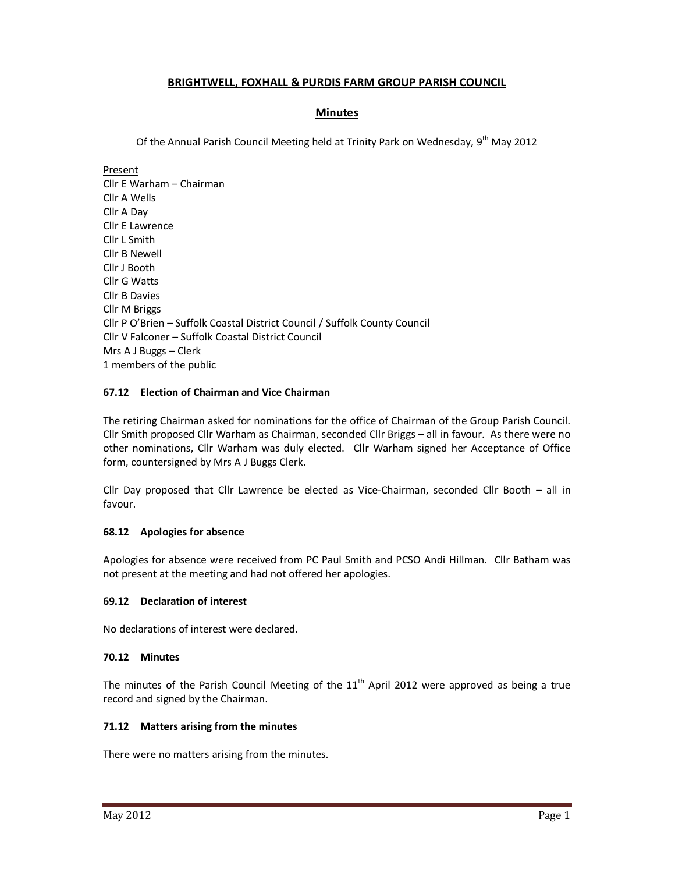# **BRIGHTWELL, FOXHALL & PURDIS FARM GROUP PARISH COUNCIL**

# **Minutes**

Of the Annual Parish Council Meeting held at Trinity Park on Wednesday, 9<sup>th</sup> May 2012

Present Cllr E Warham – Chairman Cllr A Wells Cllr A Day Cllr E Lawrence Cllr L Smith Cllr B Newell Cllr J Booth Cllr G Watts Cllr B Davies Cllr M Briggs Cllr P O'Brien – Suffolk Coastal District Council / Suffolk County Council Cllr V Falconer – Suffolk Coastal District Council Mrs A J Buggs – Clerk 1 members of the public

## **67.12 Election of Chairman and Vice Chairman**

The retiring Chairman asked for nominations for the office of Chairman of the Group Parish Council. Cllr Smith proposed Cllr Warham as Chairman, seconded Cllr Briggs – all in favour. As there were no other nominations, Cllr Warham was duly elected. Cllr Warham signed her Acceptance of Office form, countersigned by Mrs A J Buggs Clerk.

Cllr Day proposed that Cllr Lawrence be elected as Vice-Chairman, seconded Cllr Booth – all in favour.

## **68.12 Apologies for absence**

Apologies for absence were received from PC Paul Smith and PCSO Andi Hillman. Cllr Batham was not present at the meeting and had not offered her apologies.

## **69.12 Declaration of interest**

No declarations of interest were declared.

## **70.12 Minutes**

The minutes of the Parish Council Meeting of the  $11<sup>th</sup>$  April 2012 were approved as being a true record and signed by the Chairman.

#### **71.12 Matters arising from the minutes**

There were no matters arising from the minutes.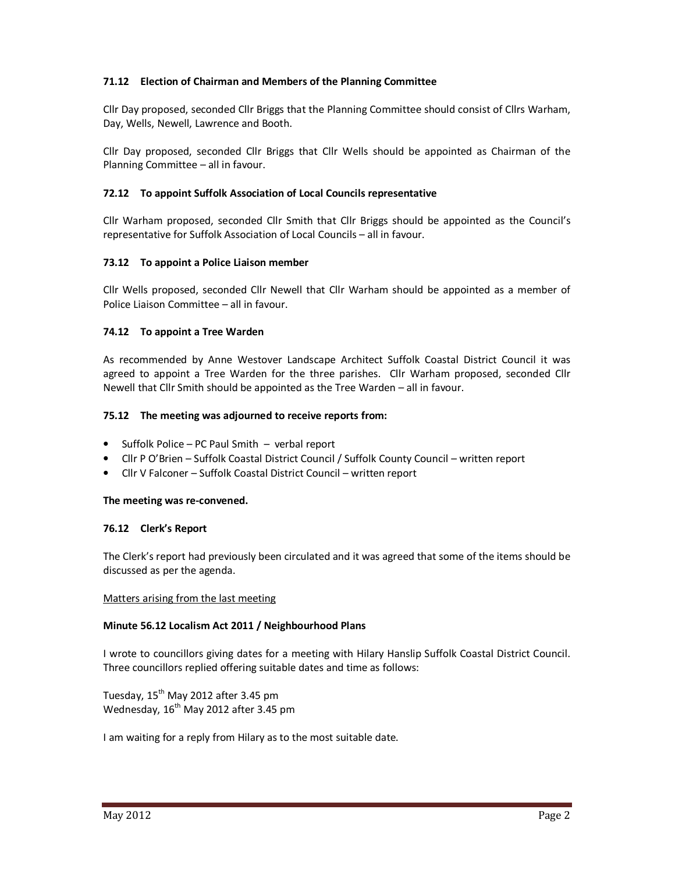# **71.12 Election of Chairman and Members of the Planning Committee**

Cllr Day proposed, seconded Cllr Briggs that the Planning Committee should consist of Cllrs Warham, Day, Wells, Newell, Lawrence and Booth.

Cllr Day proposed, seconded Cllr Briggs that Cllr Wells should be appointed as Chairman of the Planning Committee – all in favour.

## **72.12 To appoint Suffolk Association of Local Councils representative**

Cllr Warham proposed, seconded Cllr Smith that Cllr Briggs should be appointed as the Council's representative for Suffolk Association of Local Councils – all in favour.

## **73.12 To appoint a Police Liaison member**

Cllr Wells proposed, seconded Cllr Newell that Cllr Warham should be appointed as a member of Police Liaison Committee – all in favour.

## **74.12 To appoint a Tree Warden**

As recommended by Anne Westover Landscape Architect Suffolk Coastal District Council it was agreed to appoint a Tree Warden for the three parishes. Cllr Warham proposed, seconded Cllr Newell that Cllr Smith should be appointed as the Tree Warden – all in favour.

## **75.12 The meeting was adjourned to receive reports from:**

- Suffolk Police PC Paul Smith verbal report
- Cllr P O'Brien Suffolk Coastal District Council / Suffolk County Council written report
- Cllr V Falconer Suffolk Coastal District Council written report

## **The meeting was re-convened.**

#### **76.12 Clerk's Report**

The Clerk's report had previously been circulated and it was agreed that some of the items should be discussed as per the agenda.

#### Matters arising from the last meeting

## **Minute 56.12 Localism Act 2011 / Neighbourhood Plans**

I wrote to councillors giving dates for a meeting with Hilary Hanslip Suffolk Coastal District Council. Three councillors replied offering suitable dates and time as follows:

Tuesday,  $15<sup>th</sup>$  May 2012 after 3.45 pm Wednesday, 16<sup>th</sup> May 2012 after 3.45 pm

I am waiting for a reply from Hilary as to the most suitable date.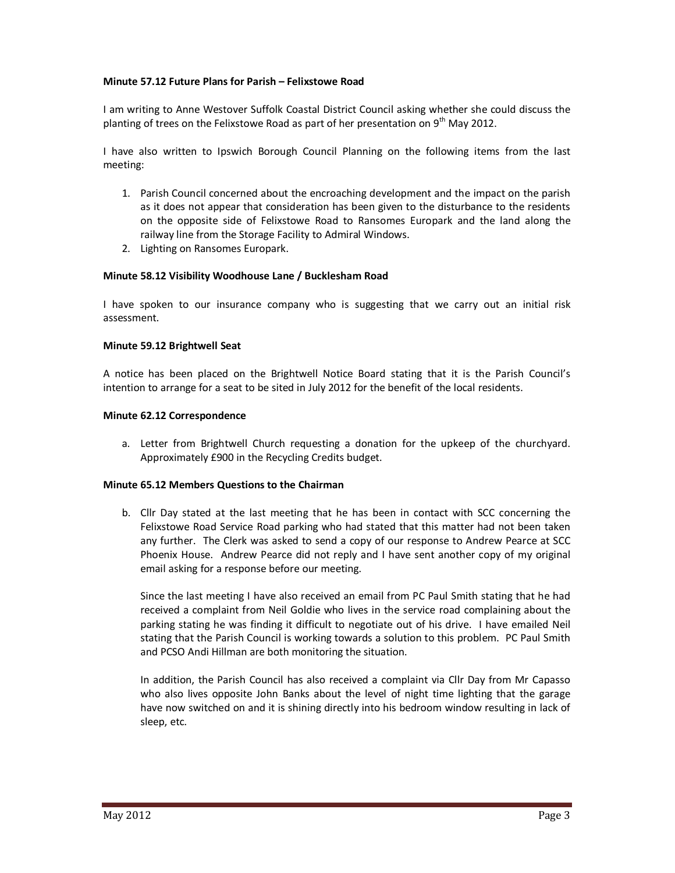### **Minute 57.12 Future Plans for Parish – Felixstowe Road**

I am writing to Anne Westover Suffolk Coastal District Council asking whether she could discuss the planting of trees on the Felixstowe Road as part of her presentation on  $9<sup>th</sup>$  May 2012.

I have also written to Ipswich Borough Council Planning on the following items from the last meeting:

- 1. Parish Council concerned about the encroaching development and the impact on the parish as it does not appear that consideration has been given to the disturbance to the residents on the opposite side of Felixstowe Road to Ransomes Europark and the land along the railway line from the Storage Facility to Admiral Windows.
- 2. Lighting on Ransomes Europark.

### **Minute 58.12 Visibility Woodhouse Lane / Bucklesham Road**

I have spoken to our insurance company who is suggesting that we carry out an initial risk assessment.

#### **Minute 59.12 Brightwell Seat**

A notice has been placed on the Brightwell Notice Board stating that it is the Parish Council's intention to arrange for a seat to be sited in July 2012 for the benefit of the local residents.

### **Minute 62.12 Correspondence**

a. Letter from Brightwell Church requesting a donation for the upkeep of the churchyard. Approximately £900 in the Recycling Credits budget.

#### **Minute 65.12 Members Questions to the Chairman**

b. Cllr Day stated at the last meeting that he has been in contact with SCC concerning the Felixstowe Road Service Road parking who had stated that this matter had not been taken any further. The Clerk was asked to send a copy of our response to Andrew Pearce at SCC Phoenix House. Andrew Pearce did not reply and I have sent another copy of my original email asking for a response before our meeting.

Since the last meeting I have also received an email from PC Paul Smith stating that he had received a complaint from Neil Goldie who lives in the service road complaining about the parking stating he was finding it difficult to negotiate out of his drive. I have emailed Neil stating that the Parish Council is working towards a solution to this problem. PC Paul Smith and PCSO Andi Hillman are both monitoring the situation.

In addition, the Parish Council has also received a complaint via Cllr Day from Mr Capasso who also lives opposite John Banks about the level of night time lighting that the garage have now switched on and it is shining directly into his bedroom window resulting in lack of sleep, etc.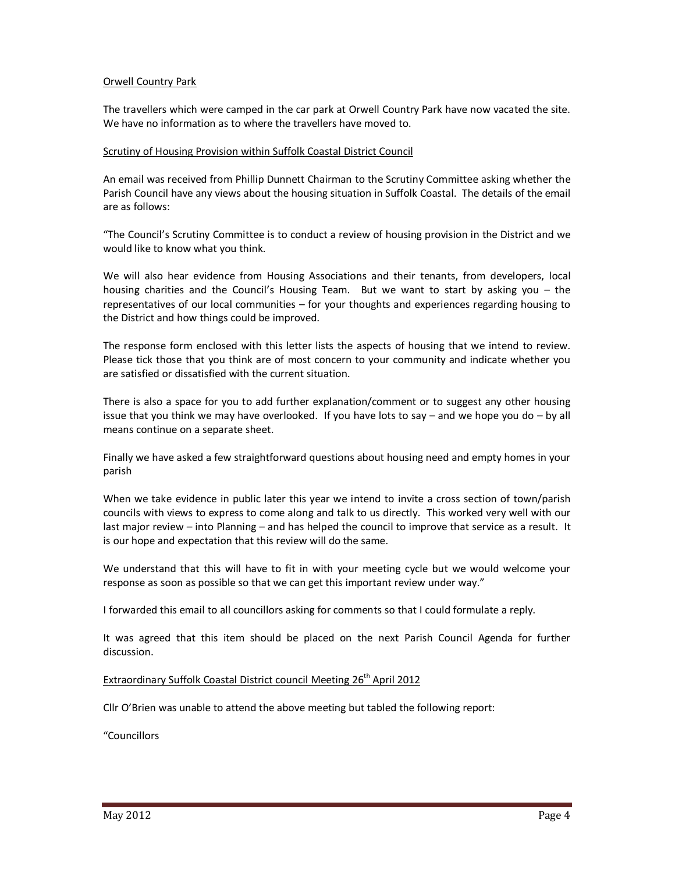### Orwell Country Park

The travellers which were camped in the car park at Orwell Country Park have now vacated the site. We have no information as to where the travellers have moved to.

### Scrutiny of Housing Provision within Suffolk Coastal District Council

An email was received from Phillip Dunnett Chairman to the Scrutiny Committee asking whether the Parish Council have any views about the housing situation in Suffolk Coastal. The details of the email are as follows:

"The Council's Scrutiny Committee is to conduct a review of housing provision in the District and we would like to know what you think.

We will also hear evidence from Housing Associations and their tenants, from developers, local housing charities and the Council's Housing Team. But we want to start by asking you – the representatives of our local communities – for your thoughts and experiences regarding housing to the District and how things could be improved.

The response form enclosed with this letter lists the aspects of housing that we intend to review. Please tick those that you think are of most concern to your community and indicate whether you are satisfied or dissatisfied with the current situation.

There is also a space for you to add further explanation/comment or to suggest any other housing issue that you think we may have overlooked. If you have lots to say – and we hope you do – by all means continue on a separate sheet.

Finally we have asked a few straightforward questions about housing need and empty homes in your parish

When we take evidence in public later this year we intend to invite a cross section of town/parish councils with views to express to come along and talk to us directly. This worked very well with our last major review – into Planning – and has helped the council to improve that service as a result. It is our hope and expectation that this review will do the same.

We understand that this will have to fit in with your meeting cycle but we would welcome your response as soon as possible so that we can get this important review under way."

I forwarded this email to all councillors asking for comments so that I could formulate a reply.

It was agreed that this item should be placed on the next Parish Council Agenda for further discussion.

# Extraordinary Suffolk Coastal District council Meeting 26<sup>th</sup> April 2012

Cllr O'Brien was unable to attend the above meeting but tabled the following report:

"Councillors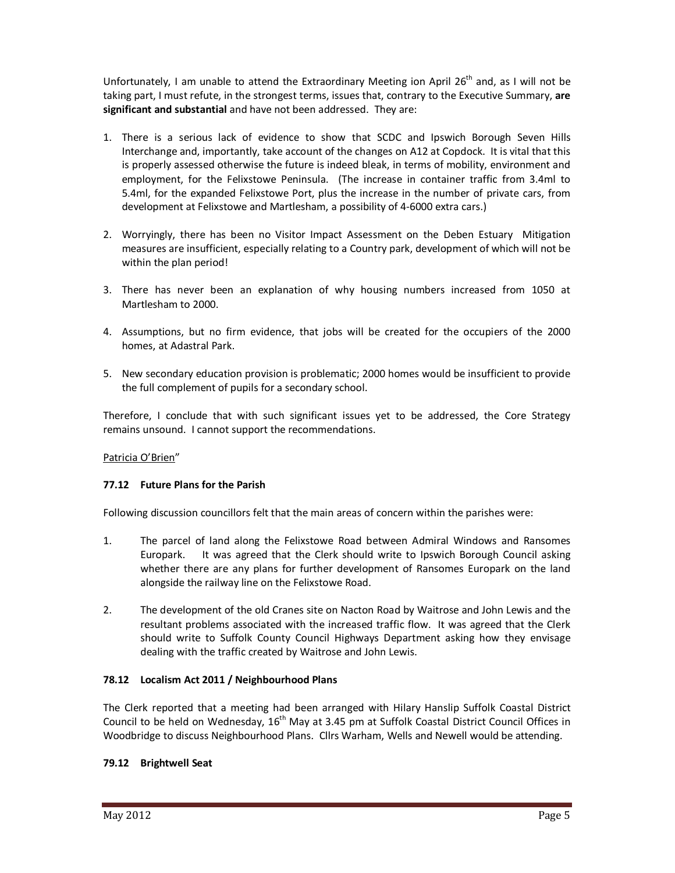Unfortunately, I am unable to attend the Extraordinary Meeting ion April  $26<sup>th</sup>$  and, as I will not be taking part, I must refute, in the strongest terms, issues that, contrary to the Executive Summary, **are significant and substantial** and have not been addressed. They are:

- 1. There is a serious lack of evidence to show that SCDC and Ipswich Borough Seven Hills Interchange and, importantly, take account of the changes on A12 at Copdock. It is vital that this is properly assessed otherwise the future is indeed bleak, in terms of mobility, environment and employment, for the Felixstowe Peninsula. (The increase in container traffic from 3.4ml to 5.4ml, for the expanded Felixstowe Port, plus the increase in the number of private cars, from development at Felixstowe and Martlesham, a possibility of 4-6000 extra cars.)
- 2. Worryingly, there has been no Visitor Impact Assessment on the Deben Estuary Mitigation measures are insufficient, especially relating to a Country park, development of which will not be within the plan period!
- 3. There has never been an explanation of why housing numbers increased from 1050 at Martlesham to 2000.
- 4. Assumptions, but no firm evidence, that jobs will be created for the occupiers of the 2000 homes, at Adastral Park.
- 5. New secondary education provision is problematic; 2000 homes would be insufficient to provide the full complement of pupils for a secondary school.

Therefore, I conclude that with such significant issues yet to be addressed, the Core Strategy remains unsound. I cannot support the recommendations.

## Patricia O'Brien"

## **77.12 Future Plans for the Parish**

Following discussion councillors felt that the main areas of concern within the parishes were:

- 1. The parcel of land along the Felixstowe Road between Admiral Windows and Ransomes Europark. It was agreed that the Clerk should write to Ipswich Borough Council asking whether there are any plans for further development of Ransomes Europark on the land alongside the railway line on the Felixstowe Road.
- 2. The development of the old Cranes site on Nacton Road by Waitrose and John Lewis and the resultant problems associated with the increased traffic flow. It was agreed that the Clerk should write to Suffolk County Council Highways Department asking how they envisage dealing with the traffic created by Waitrose and John Lewis.

## **78.12 Localism Act 2011 / Neighbourhood Plans**

The Clerk reported that a meeting had been arranged with Hilary Hanslip Suffolk Coastal District Council to be held on Wednesday, 16<sup>th</sup> May at 3.45 pm at Suffolk Coastal District Council Offices in Woodbridge to discuss Neighbourhood Plans. Cllrs Warham, Wells and Newell would be attending.

## **79.12 Brightwell Seat**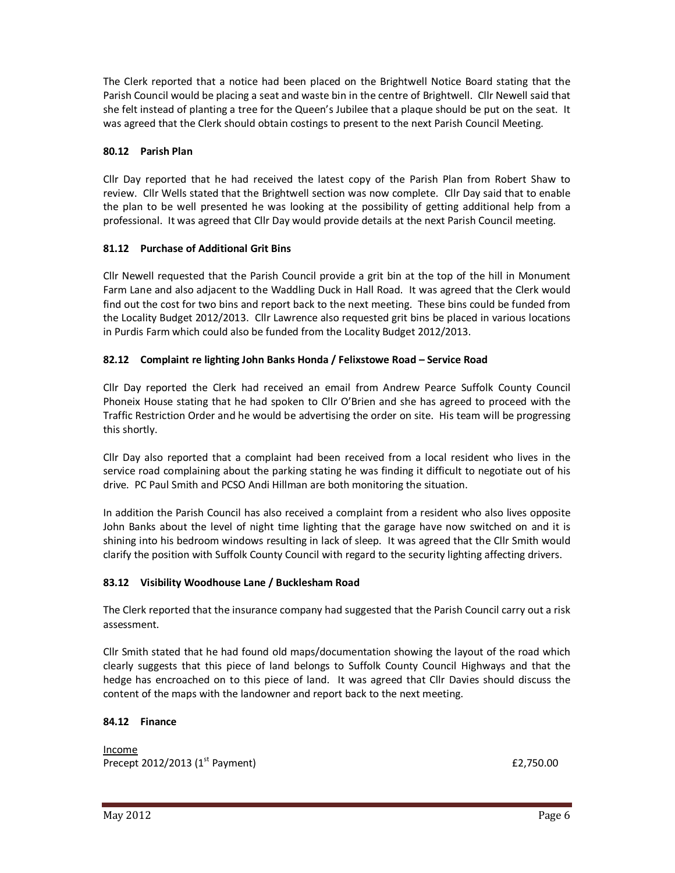The Clerk reported that a notice had been placed on the Brightwell Notice Board stating that the Parish Council would be placing a seat and waste bin in the centre of Brightwell. Cllr Newell said that she felt instead of planting a tree for the Queen's Jubilee that a plaque should be put on the seat. It was agreed that the Clerk should obtain costings to present to the next Parish Council Meeting.

# **80.12 Parish Plan**

Cllr Day reported that he had received the latest copy of the Parish Plan from Robert Shaw to review. Cllr Wells stated that the Brightwell section was now complete. Cllr Day said that to enable the plan to be well presented he was looking at the possibility of getting additional help from a professional. It was agreed that Cllr Day would provide details at the next Parish Council meeting.

# **81.12 Purchase of Additional Grit Bins**

Cllr Newell requested that the Parish Council provide a grit bin at the top of the hill in Monument Farm Lane and also adjacent to the Waddling Duck in Hall Road. It was agreed that the Clerk would find out the cost for two bins and report back to the next meeting. These bins could be funded from the Locality Budget 2012/2013. Cllr Lawrence also requested grit bins be placed in various locations in Purdis Farm which could also be funded from the Locality Budget 2012/2013.

# **82.12 Complaint re lighting John Banks Honda / Felixstowe Road – Service Road**

Cllr Day reported the Clerk had received an email from Andrew Pearce Suffolk County Council Phoneix House stating that he had spoken to Cllr O'Brien and she has agreed to proceed with the Traffic Restriction Order and he would be advertising the order on site. His team will be progressing this shortly.

Cllr Day also reported that a complaint had been received from a local resident who lives in the service road complaining about the parking stating he was finding it difficult to negotiate out of his drive. PC Paul Smith and PCSO Andi Hillman are both monitoring the situation.

In addition the Parish Council has also received a complaint from a resident who also lives opposite John Banks about the level of night time lighting that the garage have now switched on and it is shining into his bedroom windows resulting in lack of sleep. It was agreed that the Cllr Smith would clarify the position with Suffolk County Council with regard to the security lighting affecting drivers.

## **83.12 Visibility Woodhouse Lane / Bucklesham Road**

The Clerk reported that the insurance company had suggested that the Parish Council carry out a risk assessment.

Cllr Smith stated that he had found old maps/documentation showing the layout of the road which clearly suggests that this piece of land belongs to Suffolk County Council Highways and that the hedge has encroached on to this piece of land. It was agreed that Cllr Davies should discuss the content of the maps with the landowner and report back to the next meeting.

## **84.12 Finance**

Income Precept 2012/2013 ( $1^{st}$  Payment)  $\qquad 2^{st}$  Payment)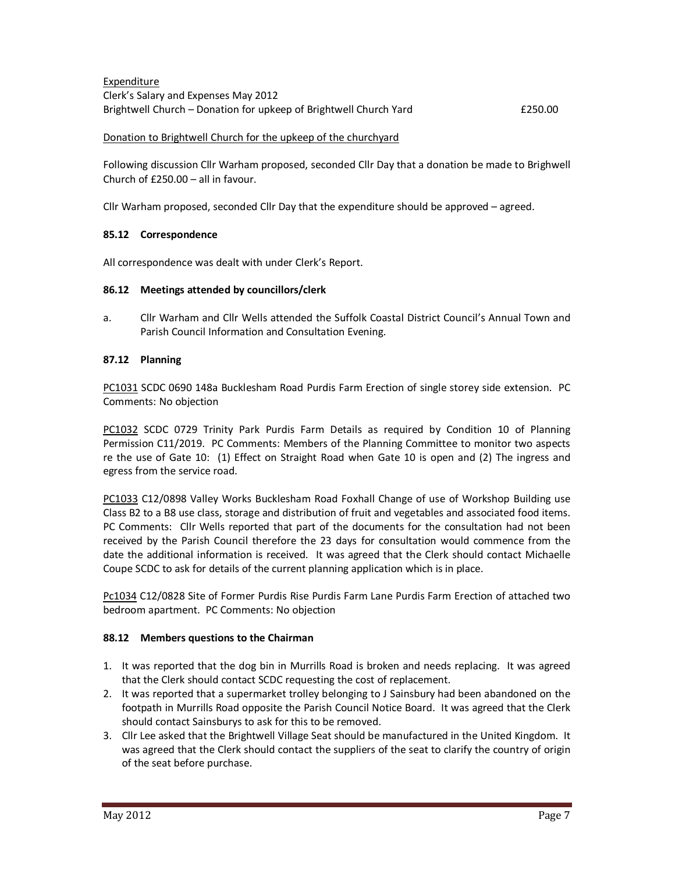Expenditure Clerk's Salary and Expenses May 2012 Brightwell Church – Donation for upkeep of Brightwell Church Yard **EXELL EXELL EXELL EXELL** 

### Donation to Brightwell Church for the upkeep of the churchyard

Following discussion Cllr Warham proposed, seconded Cllr Day that a donation be made to Brighwell Church of £250.00 – all in favour.

Cllr Warham proposed, seconded Cllr Day that the expenditure should be approved – agreed.

### **85.12 Correspondence**

All correspondence was dealt with under Clerk's Report.

### **86.12 Meetings attended by councillors/clerk**

a. Cllr Warham and Cllr Wells attended the Suffolk Coastal District Council's Annual Town and Parish Council Information and Consultation Evening.

### **87.12 Planning**

PC1031 SCDC 0690 148a Bucklesham Road Purdis Farm Erection of single storey side extension. PC Comments: No objection

PC1032 SCDC 0729 Trinity Park Purdis Farm Details as required by Condition 10 of Planning Permission C11/2019. PC Comments: Members of the Planning Committee to monitor two aspects re the use of Gate 10: (1) Effect on Straight Road when Gate 10 is open and (2) The ingress and egress from the service road.

PC1033 C12/0898 Valley Works Bucklesham Road Foxhall Change of use of Workshop Building use Class B2 to a B8 use class, storage and distribution of fruit and vegetables and associated food items. PC Comments: Cllr Wells reported that part of the documents for the consultation had not been received by the Parish Council therefore the 23 days for consultation would commence from the date the additional information is received. It was agreed that the Clerk should contact Michaelle Coupe SCDC to ask for details of the current planning application which is in place.

Pc1034 C12/0828 Site of Former Purdis Rise Purdis Farm Lane Purdis Farm Erection of attached two bedroom apartment. PC Comments: No objection

#### **88.12 Members questions to the Chairman**

- 1. It was reported that the dog bin in Murrills Road is broken and needs replacing. It was agreed that the Clerk should contact SCDC requesting the cost of replacement.
- 2. It was reported that a supermarket trolley belonging to J Sainsbury had been abandoned on the footpath in Murrills Road opposite the Parish Council Notice Board. It was agreed that the Clerk should contact Sainsburys to ask for this to be removed.
- 3. Cllr Lee asked that the Brightwell Village Seat should be manufactured in the United Kingdom. It was agreed that the Clerk should contact the suppliers of the seat to clarify the country of origin of the seat before purchase.